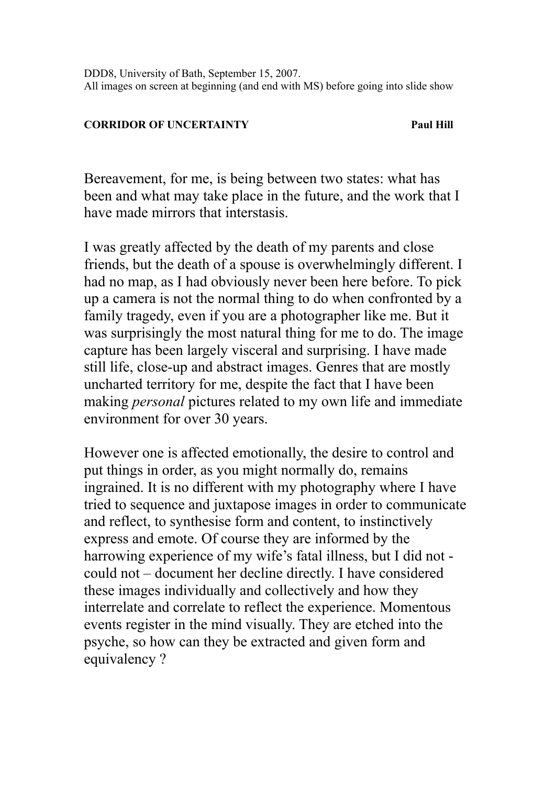DDD8, University of Bath, September 15, 2007. All images on screen at beginning (and end with MS) before going into slide show

## **CORRIDOR OF UNCERTAINTY FAUL PAUL PAUL HILL**

Bereavement, for me, is being between two states: what has been and what may take place in the future, and the work that I have made mirrors that interstasis.

I was greatly affected by the death of my parents and close friends, but the death of a spouse is overwhelmingly different. I had no map, as I had obviously never been here before. To pick up a camera is not the normal thing to do when confronted by a family tragedy, even if you are a photographer like me. But it was surprisingly the most natural thing for me to do. The image capture has been largely visceral and surprising. I have made still life, close-up and abstract images. Genres that are mostly uncharted territory for me, despite the fact that I have been making *personal* pictures related to my own life and immediate environment for over 30 years.

However one is affected emotionally, the desire to control and put things in order, as you might normally do, remains ingrained. It is no different with my photography where I have tried to sequence and juxtapose images in order to communicate and reflect, to synthesise form and content, to instinctively express and emote. Of course they are informed by the harrowing experience of my wife's fatal illness, but I did not could not – document her decline directly. I have considered these images individually and collectively and how they interrelate and correlate to reflect the experience. Momentous events register in the mind visually. They are etched into the psyche, so how can they be extracted and given form and equivalency ?